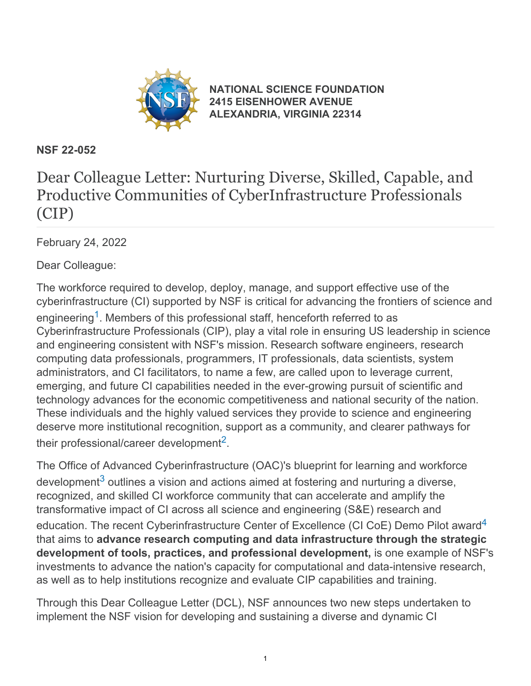

**[NATIONAL SCIENCE FOUNDATION](https://www.nsf.gov/) [2415 EISENHOWER AVENUE](https://www.nsf.gov/) [ALEXANDRIA, VIRGINIA 22314](https://www.nsf.gov/)**

#### **NSF 22-052**

# Dear Colleague Letter: Nurturing Diverse, Skilled, Capable, and Productive Communities of CyberInfrastructure Professionals (CIP)

February 24, 2022

Dear Colleague:

The workforce required to develop, deploy, manage, and support effective use of the cyberinfrastructure (CI) supported by NSF is critical for advancing the frontiers of science and engineering<sup>[1](#page-3-0)</sup>. Members of this professional staff, henceforth referred to as Cyberinfrastructure Professionals (CIP), play a vital role in ensuring US leadership in science and engineering consistent with NSF's mission. Research software engineers, research computing data professionals, programmers, IT professionals, data scientists, system administrators, and CI facilitators, to name a few, are called upon to leverage current, emerging, and future CI capabilities needed in the ever-growing pursuit of scientific and technology advances for the economic competitiveness and national security of the nation. These individuals and the highly valued services they provide to science and engineering deserve more institutional recognition, support as a community, and clearer pathways for their professional/career development<sup>[2](#page-3-1)</sup>.

The Office of Advanced Cyberinfrastructure (OAC)'s blueprint for learning and workforce development<sup>[3](#page-3-2)</sup> outlines a vision and actions aimed at fostering and nurturing a diverse, recognized, and skilled CI workforce community that can accelerate and amplify the transformative impact of CI across all science and engineering (S&E) research and education. The recent Cyberinfrastructure Center of Excellence (CI CoE) Demo Pilot award<sup>[4](#page-3-3)</sup> that aims to **advance research computing and data infrastructure through the strategic development of tools, practices, and professional development,** is one example of NSF's investments to advance the nation's capacity for computational and data-intensive research, as well as to help institutions recognize and evaluate CIP capabilities and training.

Through this Dear Colleague Letter (DCL), NSF announces two new steps undertaken to implement the NSF vision for developing and sustaining a diverse and dynamic CI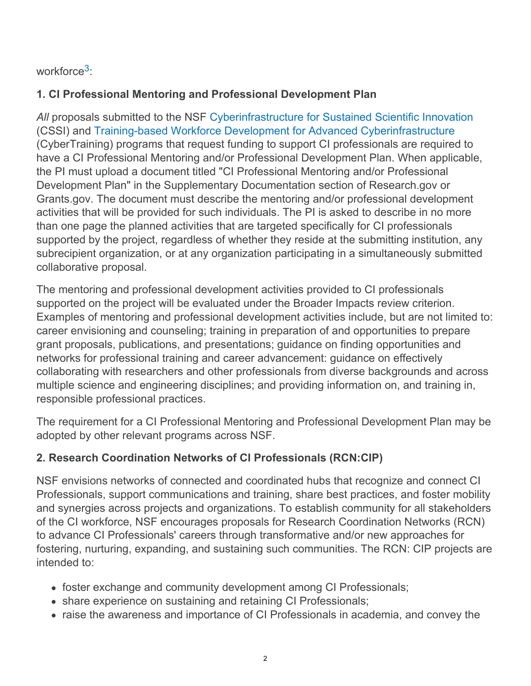## workforce<sup>[3](#page-3-2).</sup>

### **1. CI Professional Mentoring and Professional Development Plan**

*All* proposals submitted to the NSF [Cyberinfrastructure for Sustained Scientific Innovation](https://beta.nsf.gov/funding/opportunities/cyberinfrastructure-sustained-scientific-innovation-cssi) (CSSI) and [Training-based Workforce Development for Advanced Cyberinfrastructure](https://beta.nsf.gov/funding/opportunities/training-based-workforce-development-advanced-cyberinfrastructure) (CyberTraining) programs that request funding to support CI professionals are required to have a CI Professional Mentoring and/or Professional Development Plan. When applicable, the PI must upload a document titled "CI Professional Mentoring and/or Professional Development Plan" in the Supplementary Documentation section of Research.gov or Grants.gov. The document must describe the mentoring and/or professional development activities that will be provided for such individuals. The PI is asked to describe in no more than one page the planned activities that are targeted specifically for CI professionals supported by the project, regardless of whether they reside at the submitting institution, any subrecipient organization, or at any organization participating in a simultaneously submitted collaborative proposal.

The mentoring and professional development activities provided to CI professionals supported on the project will be evaluated under the Broader Impacts review criterion. Examples of mentoring and professional development activities include, but are not limited to: career envisioning and counseling; training in preparation of and opportunities to prepare grant proposals, publications, and presentations; guidance on finding opportunities and networks for professional training and career advancement: guidance on effectively collaborating with researchers and other professionals from diverse backgrounds and across multiple science and engineering disciplines; and providing information on, and training in, responsible professional practices.

The requirement for a CI Professional Mentoring and Professional Development Plan may be adopted by other relevant programs across NSF.

#### **2. Research Coordination Networks of CI Professionals (RCN:CIP)**

NSF envisions networks of connected and coordinated hubs that recognize and connect CI Professionals, support communications and training, share best practices, and foster mobility and synergies across projects and organizations. To establish community for all stakeholders of the CI workforce, NSF encourages proposals for Research Coordination Networks (RCN) to advance CI Professionals' careers through transformative and/or new approaches for fostering, nurturing, expanding, and sustaining such communities. The RCN: CIP projects are intended to:

- foster exchange and community development among CI Professionals;
- share experience on sustaining and retaining CI Professionals;
- raise the awareness and importance of CI Professionals in academia, and convey the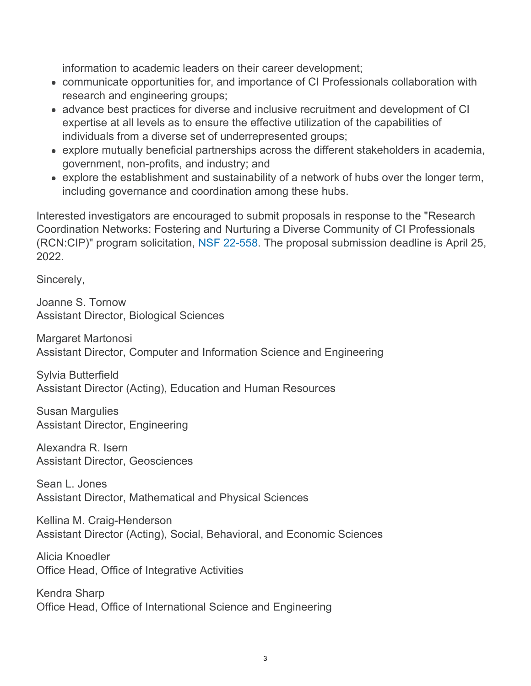information to academic leaders on their career development;

- communicate opportunities for, and importance of CI Professionals collaboration with research and engineering groups;
- advance best practices for diverse and inclusive recruitment and development of CI expertise at all levels as to ensure the effective utilization of the capabilities of individuals from a diverse set of underrepresented groups;
- explore mutually beneficial partnerships across the different stakeholders in academia, government, non-profits, and industry; and
- explore the establishment and sustainability of a network of hubs over the longer term, including governance and coordination among these hubs.

Interested investigators are encouraged to submit proposals in response to the "Research Coordination Networks: Fostering and Nurturing a Diverse Community of CI Professionals (RCN:CIP)" program solicitation, [NSF 22-558](https://www.nsf.gov/publications/pub_summ.jsp?ods_key=nsf22558). The proposal submission deadline is April 25, 2022.

Sincerely,

Joanne S. Tornow Assistant Director, Biological Sciences

Margaret Martonosi Assistant Director, Computer and Information Science and Engineering

Sylvia Butterfield Assistant Director (Acting), Education and Human Resources

Susan Margulies Assistant Director, Engineering

Alexandra R. Isern Assistant Director, Geosciences

Sean L. Jones Assistant Director, Mathematical and Physical Sciences

Kellina M. Craig-Henderson Assistant Director (Acting), Social, Behavioral, and Economic Sciences

Alicia Knoedler Office Head, Office of Integrative Activities

Kendra Sharp Office Head, Office of International Science and Engineering